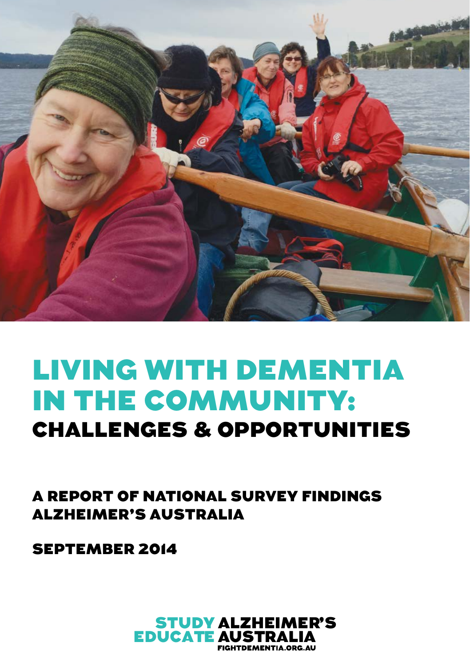

## LIVING WITH DEMENTIA IN THE COMMUNITY: CHALLENGES & OPPORTUNITIES

A REPORT OF NATIONAL SURVEY FINDINGS ALZHEIMER'S AUSTRALIA

SEPTEMBER 2014

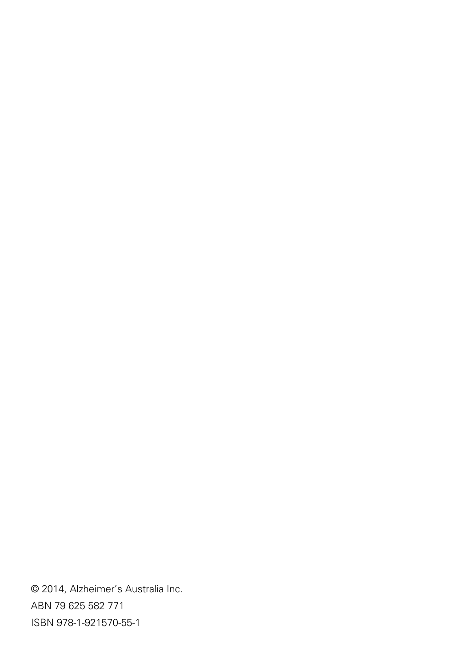© 2014, Alzheimer's Australia Inc. ABN 79 625 582 771 ISBN 978-1-921570-55-1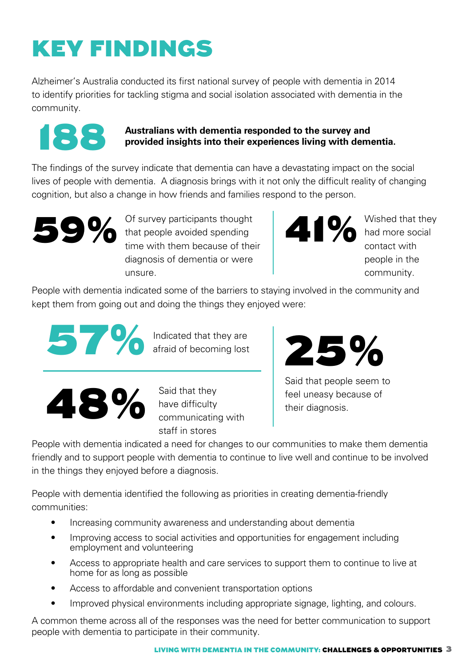# KEY FINDINGS

Alzheimer's Australia conducted its first national survey of people with dementia in 2014 to identify priorities for tackling stigma and social isolation associated with dementia in the community.



#### **Australians with dementia responded to the survey and provided insights into their experiences living with deme provided insights into their experiences living with dementia.**

The findings of the survey indicate that dementia can have a devastating impact on the social lives of people with dementia. A diagnosis brings with it not only the difficult reality of changing cognition, but also a change in how friends and families respond to the person.



59% Of survey participants thought<br>that people avoided spending<br>time with them because of the that people avoided spending time with them because of their diagnosis of dementia or were unsure.

**41%** Wished that they had more social

had more social contact with people in the community.

People with dementia indicated some of the barriers to staying involved in the community and kept them from going out and doing the things they enjoyed were:



afraid of becoming lost



have difficulty communicating with staff in stores



Said that people seem to feel uneasy because of their diagnosis.

People with dementia indicated a need for changes to our communities to make them dementia friendly and to support people with dementia to continue to live well and continue to be involved in the things they enjoyed before a diagnosis.

People with dementia identified the following as priorities in creating dementia-friendly communities:

- Increasing community awareness and understanding about dementia
- Improving access to social activities and opportunities for engagement including employment and volunteering
- Access to appropriate health and care services to support them to continue to live at home for as long as possible
- Access to affordable and convenient transportation options
- Improved physical environments including appropriate signage, lighting, and colours.

A common theme across all of the responses was the need for better communication to support people with dementia to participate in their community.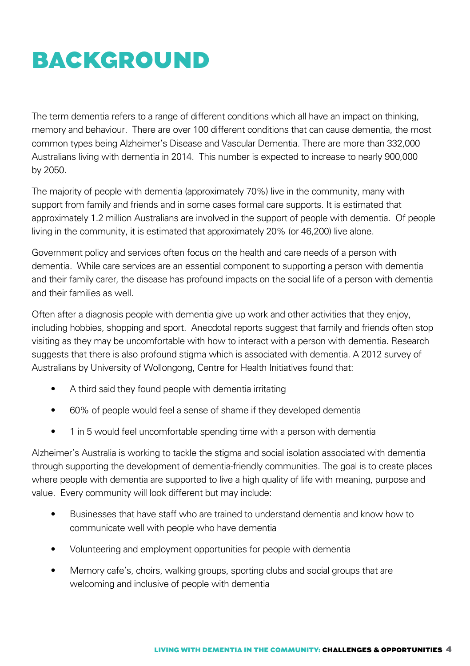### BACKGROUND

The term dementia refers to a range of different conditions which all have an impact on thinking, memory and behaviour. There are over 100 different conditions that can cause dementia, the most common types being Alzheimer's Disease and Vascular Dementia. There are more than 332,000 Australians living with dementia in 2014. This number is expected to increase to nearly 900,000 by 2050.

The majority of people with dementia (approximately 70%) live in the community, many with support from family and friends and in some cases formal care supports. It is estimated that approximately 1.2 million Australians are involved in the support of people with dementia. Of people living in the community, it is estimated that approximately 20% (or 46,200) live alone.

Government policy and services often focus on the health and care needs of a person with dementia. While care services are an essential component to supporting a person with dementia and their family carer, the disease has profound impacts on the social life of a person with dementia and their families as well.

Often after a diagnosis people with dementia give up work and other activities that they enjoy, including hobbies, shopping and sport. Anecdotal reports suggest that family and friends often stop visiting as they may be uncomfortable with how to interact with a person with dementia. Research suggests that there is also profound stigma which is associated with dementia. A 2012 survey of Australians by University of Wollongong, Centre for Health Initiatives found that:

- A third said they found people with dementia irritating
- 60% of people would feel a sense of shame if they developed dementia
- 1 in 5 would feel uncomfortable spending time with a person with dementia

Alzheimer's Australia is working to tackle the stigma and social isolation associated with dementia through supporting the development of dementia-friendly communities. The goal is to create places where people with dementia are supported to live a high quality of life with meaning, purpose and value. Every community will look different but may include:

- Businesses that have staff who are trained to understand dementia and know how to communicate well with people who have dementia
- Volunteering and employment opportunities for people with dementia
- Memory cafe's, choirs, walking groups, sporting clubs and social groups that are welcoming and inclusive of people with dementia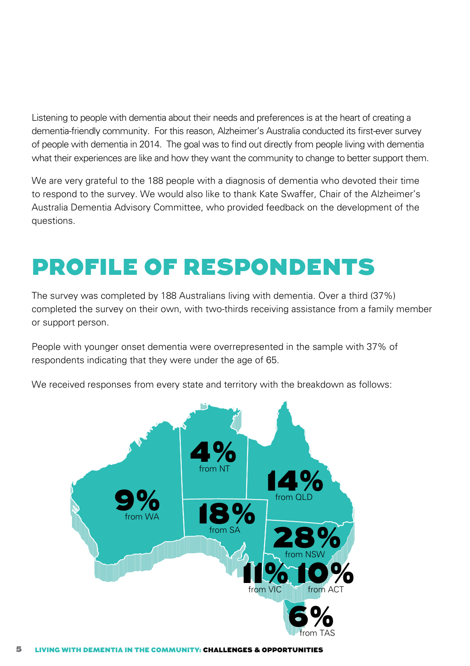Listening to people with dementia about their needs and preferences is at the heart of creating a dementia-friendly community. For this reason, Alzheimer's Australia conducted its first-ever survey of people with dementia in 2014. The goal was to find out directly from people living with dementia what their experiences are like and how they want the community to change to better support them.

We are very grateful to the 188 people with a diagnosis of dementia who devoted their time to respond to the survey. We would also like to thank Kate Swaffer, Chair of the Alzheimer's Australia Dementia Advisory Committee, who provided feedback on the development of the questions.

### Profile of respondents

The survey was completed by 188 Australians living with dementia. Over a third (37%) completed the survey on their own, with two-thirds receiving assistance from a family member or support person.

People with younger onset dementia were overrepresented in the sample with 37% of respondents indicating that they were under the age of 65.

We received responses from every state and territory with the breakdown as follows:

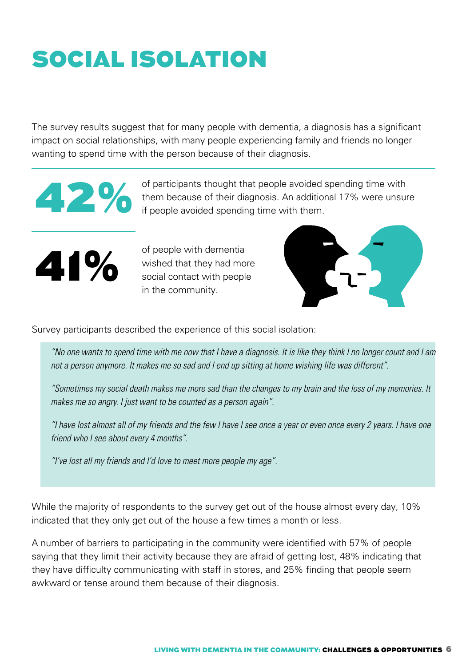# Social isolation

The survey results suggest that for many people with dementia, a diagnosis has a significant impact on social relationships, with many people experiencing family and friends no longer wanting to spend time with the person because of their diagnosis.



of participants thought that people avoided spending time with<br>them because of their diagnosis. An additional 17% were unsure<br>if people avoided spending time with them. them because of their diagnosis. An additional 17% were unsure if people avoided spending time with them.



of people with dementia<br>wished that they had mo<br>social contect with people wished that they had more social contact with people in the community.



Survey participants described the experience of this social isolation:

*"No one wants to spend time with me now that I have a diagnosis. It is like they think I no longer count and I am not a person anymore. It makes me so sad and I end up sitting at home wishing life was different".*

*"Sometimes my social death makes me more sad than the changes to my brain and the loss of my memories. It makes me so angry. I just want to be counted as a person again".*

*"I have lost almost all of my friends and the few I have I see once a year or even once every 2 years. I have one friend who I see about every 4 months".*

*"I've lost all my friends and I'd love to meet more people my age".*

While the majority of respondents to the survey get out of the house almost every day, 10% indicated that they only get out of the house a few times a month or less.

A number of barriers to participating in the community were identified with 57% of people saying that they limit their activity because they are afraid of getting lost, 48% indicating that they have difficulty communicating with staff in stores, and 25% finding that people seem awkward or tense around them because of their diagnosis.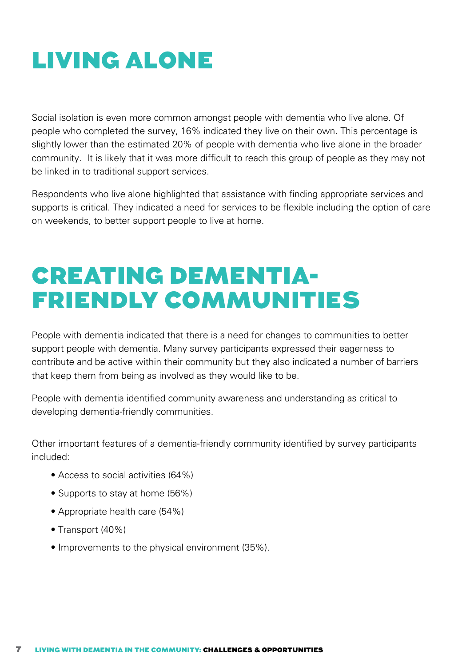## Living Alone

Social isolation is even more common amongst people with dementia who live alone. Of people who completed the survey, 16% indicated they live on their own. This percentage is slightly lower than the estimated 20% of people with dementia who live alone in the broader community. It is likely that it was more difficult to reach this group of people as they may not be linked in to traditional support services.

Respondents who live alone highlighted that assistance with finding appropriate services and supports is critical. They indicated a need for services to be flexible including the option of care on weekends, to better support people to live at home.

## Creating dementiafriendly communities

People with dementia indicated that there is a need for changes to communities to better support people with dementia. Many survey participants expressed their eagerness to contribute and be active within their community but they also indicated a number of barriers that keep them from being as involved as they would like to be.

People with dementia identified community awareness and understanding as critical to developing dementia-friendly communities.

Other important features of a dementia-friendly community identified by survey participants included:

- Access to social activities (64%)
- Supports to stay at home (56%)
- Appropriate health care (54%)
- Transport (40%)
- Improvements to the physical environment (35%).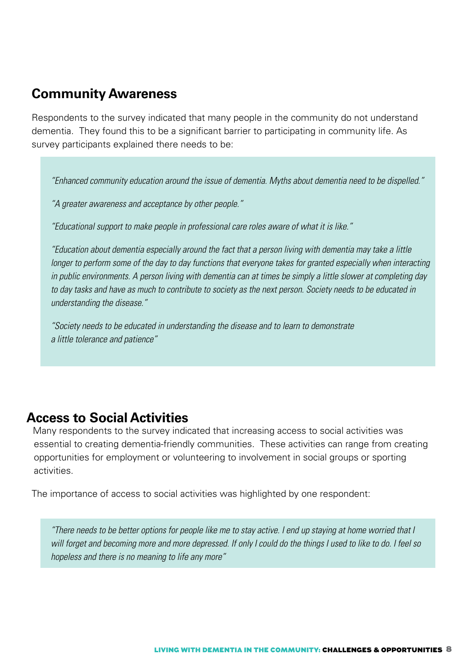#### **Community Awareness**

Respondents to the survey indicated that many people in the community do not understand dementia. They found this to be a significant barrier to participating in community life. As survey participants explained there needs to be:

*"Enhanced community education around the issue of dementia. Myths about dementia need to be dispelled."*

*"A greater awareness and acceptance by other people."*

*"Educational support to make people in professional care roles aware of what it is like."*

*"Education about dementia especially around the fact that a person living with dementia may take a little longer to perform some of the day to day functions that everyone takes for granted especially when interacting in public environments. A person living with dementia can at times be simply a little slower at completing day to day tasks and have as much to contribute to society as the next person. Society needs to be educated in understanding the disease."*

*"Society needs to be educated in understanding the disease and to learn to demonstrate a little tolerance and patience"*

#### **Access to Social Activities**

Many respondents to the survey indicated that increasing access to social activities was essential to creating dementia-friendly communities. These activities can range from creating opportunities for employment or volunteering to involvement in social groups or sporting activities.

The importance of access to social activities was highlighted by one respondent:

*"There needs to be better options for people like me to stay active. I end up staying at home worried that I will forget and becoming more and more depressed. If only I could do the things I used to like to do. I feel so hopeless and there is no meaning to life any more"*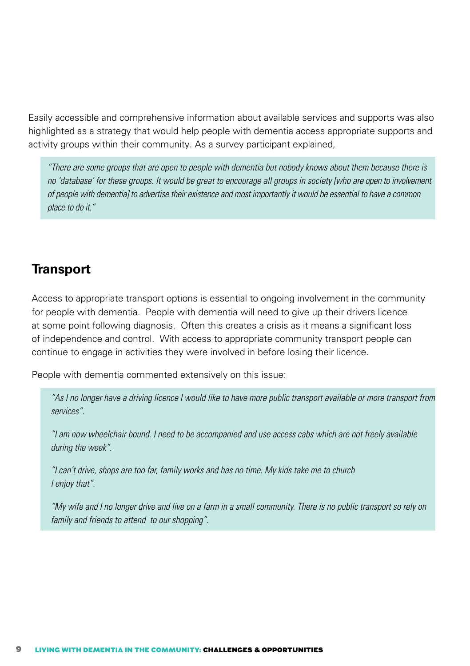Easily accessible and comprehensive information about available services and supports was also highlighted as a strategy that would help people with dementia access appropriate supports and activity groups within their community. As a survey participant explained,

*"There are some groups that are open to people with dementia but nobody knows about them because there is no 'database' for these groups. It would be great to encourage all groups in society [who are open to involvement of people with dementia] to advertise their existence and most importantly it would be essential to have a common place to do it."*

#### **Transport**

Access to appropriate transport options is essential to ongoing involvement in the community for people with dementia. People with dementia will need to give up their drivers licence at some point following diagnosis. Often this creates a crisis as it means a significant loss of independence and control. With access to appropriate community transport people can continue to engage in activities they were involved in before losing their licence.

People with dementia commented extensively on this issue:

*"As I no longer have a driving licence I would like to have more public transport available or more transport from services".*

*"I am now wheelchair bound. I need to be accompanied and use access cabs which are not freely available during the week".*

*"I can't drive, shops are too far, family works and has no time. My kids take me to church I enjoy that".*

*"My wife and I no longer drive and live on a farm in a small community. There is no public transport so rely on family and friends to attend to our shopping".*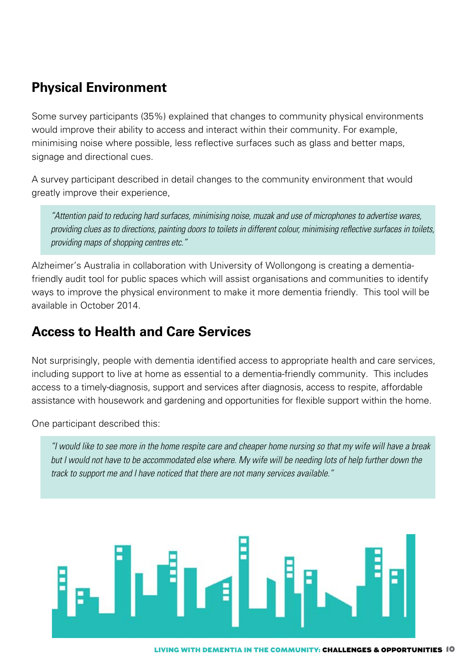#### **Physical Environment**

Some survey participants (35%) explained that changes to community physical environments would improve their ability to access and interact within their community. For example, minimising noise where possible, less reflective surfaces such as glass and better maps, signage and directional cues.

A survey participant described in detail changes to the community environment that would greatly improve their experience,

*"Attention paid to reducing hard surfaces, minimising noise, muzak and use of microphones to advertise wares,*  providing clues as to directions, painting doors to toilets in different colour, minimising reflective surfaces in toilets, *providing maps of shopping centres etc."* 

Alzheimer's Australia in collaboration with University of Wollongong is creating a dementiafriendly audit tool for public spaces which will assist organisations and communities to identify ways to improve the physical environment to make it more dementia friendly. This tool will be available in October 2014.

#### **Access to Health and Care Services**

Not surprisingly, people with dementia identified access to appropriate health and care services, including support to live at home as essential to a dementia-friendly community. This includes access to a timely-diagnosis, support and services after diagnosis, access to respite, affordable assistance with housework and gardening and opportunities for flexible support within the home.

One participant described this:

*"I would like to see more in the home respite care and cheaper home nursing so that my wife will have a break but I would not have to be accommodated else where. My wife will be needing lots of help further down the track to support me and I have noticed that there are not many services available."*